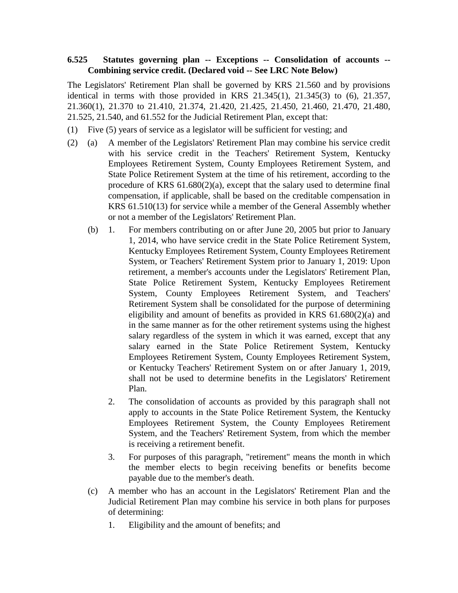## **6.525 Statutes governing plan -- Exceptions -- Consolidation of accounts -- Combining service credit. (Declared void -- See LRC Note Below)**

The Legislators' Retirement Plan shall be governed by KRS 21.560 and by provisions identical in terms with those provided in KRS  $21.345(1)$ ,  $21.345(3)$  to  $(6)$ ,  $21.357$ , 21.360(1), 21.370 to 21.410, 21.374, 21.420, 21.425, 21.450, 21.460, 21.470, 21.480, 21.525, 21.540, and 61.552 for the Judicial Retirement Plan, except that:

- (1) Five (5) years of service as a legislator will be sufficient for vesting; and
- (2) (a) A member of the Legislators' Retirement Plan may combine his service credit with his service credit in the Teachers' Retirement System, Kentucky Employees Retirement System, County Employees Retirement System, and State Police Retirement System at the time of his retirement, according to the procedure of KRS 61.680(2)(a), except that the salary used to determine final compensation, if applicable, shall be based on the creditable compensation in KRS 61.510(13) for service while a member of the General Assembly whether or not a member of the Legislators' Retirement Plan.
	- (b) 1. For members contributing on or after June 20, 2005 but prior to January 1, 2014, who have service credit in the State Police Retirement System, Kentucky Employees Retirement System, County Employees Retirement System, or Teachers' Retirement System prior to January 1, 2019: Upon retirement, a member's accounts under the Legislators' Retirement Plan, State Police Retirement System, Kentucky Employees Retirement System, County Employees Retirement System, and Teachers' Retirement System shall be consolidated for the purpose of determining eligibility and amount of benefits as provided in KRS 61.680(2)(a) and in the same manner as for the other retirement systems using the highest salary regardless of the system in which it was earned, except that any salary earned in the State Police Retirement System, Kentucky Employees Retirement System, County Employees Retirement System, or Kentucky Teachers' Retirement System on or after January 1, 2019, shall not be used to determine benefits in the Legislators' Retirement Plan.
		- 2. The consolidation of accounts as provided by this paragraph shall not apply to accounts in the State Police Retirement System, the Kentucky Employees Retirement System, the County Employees Retirement System, and the Teachers' Retirement System, from which the member is receiving a retirement benefit.
		- 3. For purposes of this paragraph, "retirement" means the month in which the member elects to begin receiving benefits or benefits become payable due to the member's death.
	- (c) A member who has an account in the Legislators' Retirement Plan and the Judicial Retirement Plan may combine his service in both plans for purposes of determining:
		- 1. Eligibility and the amount of benefits; and